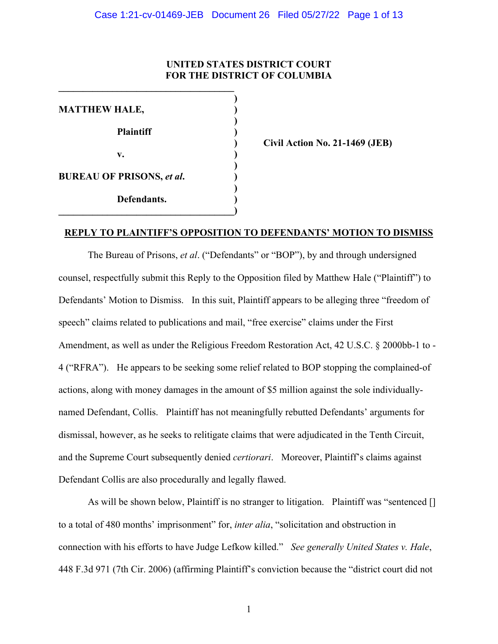# **UNITED STATES DISTRICT COURT FOR THE DISTRICT OF COLUMBIA**

**)** 

**)** 

**)** 

**)** 

**MATTHEW HALE, ) Plaintiff ) v. ) BUREAU OF PRISONS,** *et al***. ) Defendants. )** 

**\_\_\_\_\_\_\_\_\_\_\_\_\_\_\_\_\_\_\_\_\_\_\_\_\_\_\_\_\_\_\_\_\_\_\_\_)**

**\_\_\_\_\_\_\_\_\_\_\_\_\_\_\_\_\_\_\_\_\_\_\_\_\_\_\_\_\_\_\_\_\_\_\_\_** 

**) Civil Action No. 21-1469 (JEB)** 

# **REPLY TO PLAINTIFF'S OPPOSITION TO DEFENDANTS' MOTION TO DISMISS**

The Bureau of Prisons, *et al*. ("Defendants" or "BOP"), by and through undersigned counsel, respectfully submit this Reply to the Opposition filed by Matthew Hale ("Plaintiff") to Defendants' Motion to Dismiss. In this suit, Plaintiff appears to be alleging three "freedom of speech" claims related to publications and mail, "free exercise" claims under the First Amendment, as well as under the Religious Freedom Restoration Act, 42 U.S.C. § 2000bb-1 to - 4 ("RFRA"). He appears to be seeking some relief related to BOP stopping the complained-of actions, along with money damages in the amount of \$5 million against the sole individuallynamed Defendant, Collis. Plaintiff has not meaningfully rebutted Defendants' arguments for dismissal, however, as he seeks to relitigate claims that were adjudicated in the Tenth Circuit, and the Supreme Court subsequently denied *certiorari*. Moreover, Plaintiff's claims against Defendant Collis are also procedurally and legally flawed.

As will be shown below, Plaintiff is no stranger to litigation. Plaintiff was "sentenced [] to a total of 480 months' imprisonment" for, *inter alia*, "solicitation and obstruction in connection with his efforts to have Judge Lefkow killed." *See generally United States v. Hale*, 448 F.3d 971 (7th Cir. 2006) (affirming Plaintiff's conviction because the "district court did not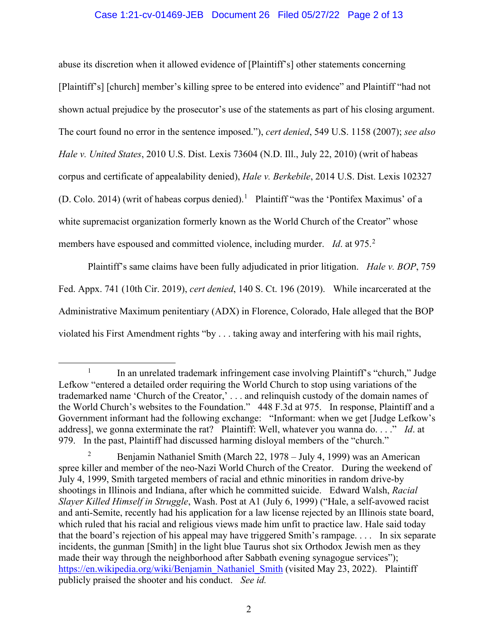# Case 1:21-cv-01469-JEB Document 26 Filed 05/27/22 Page 2 of 13

abuse its discretion when it allowed evidence of [Plaintiff's] other statements concerning [Plaintiff's] [church] member's killing spree to be entered into evidence" and Plaintiff "had not shown actual prejudice by the prosecutor's use of the statements as part of his closing argument. The court found no error in the sentence imposed."), *cert denied*, 549 U.S. 1158 (2007); *see also Hale v. United States*, 2010 U.S. Dist. Lexis 73604 (N.D. Ill., July 22, 2010) (writ of habeas corpus and certificate of appealability denied), *Hale v. Berkebile*, 2014 U.S. Dist. Lexis 102327 (D. Colo. 20[1](#page-1-0)4) (writ of habeas corpus denied).<sup>1</sup> Plaintiff "was the 'Pontifex Maximus' of a white supremacist organization formerly known as the World Church of the Creator" whose members have espoused and committed violence, including murder. *Id*. at 975.<sup>[2](#page-1-1)</sup>

Plaintiff's same claims have been fully adjudicated in prior litigation. *Hale v. BOP*, 759 Fed. Appx. 741 (10th Cir. 2019), *cert denied*, 140 S. Ct. 196 (2019). While incarcerated at the Administrative Maximum penitentiary (ADX) in Florence, Colorado, Hale alleged that the BOP violated his First Amendment rights "by . . . taking away and interfering with his mail rights,

<span id="page-1-0"></span> $1$  In an unrelated trademark infringement case involving Plaintiff's "church," Judge Lefkow "entered a detailed order requiring the World Church to stop using variations of the trademarked name 'Church of the Creator,' . . . and relinquish custody of the domain names of the World Church's websites to the Foundation." 448 F.3d at 975. In response, Plaintiff and a Government informant had the following exchange: "Informant: when we get [Judge Lefkow's address], we gonna exterminate the rat? Plaintiff: Well, whatever you wanna do. . . ." *Id*. at 979. In the past, Plaintiff had discussed harming disloyal members of the "church."

<span id="page-1-1"></span><sup>2</sup> Benjamin Nathaniel Smith (March 22, 1978 – July 4, 1999) was an American spree killer and member of the neo-Nazi World Church of the Creator. During the weekend of July 4, 1999, Smith targeted members of racial and ethnic minorities in random drive-by shootings in Illinois and Indiana, after which he committed suicide. Edward Walsh, *Racial Slayer Killed Himself in Struggle*, Wash. Post at A1 (July 6, 1999) ("Hale, a self-avowed racist and anti-Semite, recently had his application for a law license rejected by an Illinois state board, which ruled that his racial and religious views made him unfit to practice law. Hale said today that the board's rejection of his appeal may have triggered Smith's rampage. . . . In six separate incidents, the gunman [Smith] in the light blue Taurus shot six Orthodox Jewish men as they made their way through the neighborhood after Sabbath evening synagogue services"); [https://en.wikipedia.org/wiki/Benjamin\\_Nathaniel\\_Smith](https://en.wikipedia.org/wiki/Benjamin_Nathaniel_Smith) (visited May 23, 2022). Plaintiff publicly praised the shooter and his conduct. *See id.*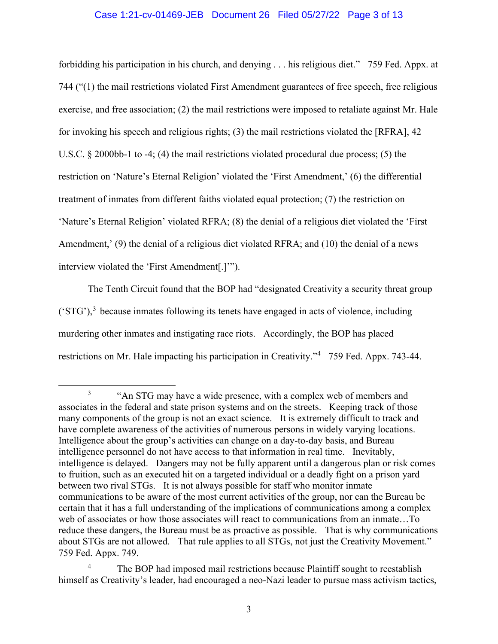# Case 1:21-cv-01469-JEB Document 26 Filed 05/27/22 Page 3 of 13

forbidding his participation in his church, and denying . . . his religious diet." 759 Fed. Appx. at 744 ("(1) the mail restrictions violated First Amendment guarantees of free speech, free religious exercise, and free association; (2) the mail restrictions were imposed to retaliate against Mr. Hale for invoking his speech and religious rights; (3) the mail restrictions violated the [RFRA], 42 U.S.C. § 2000bb-1 to -4; (4) the mail restrictions violated procedural due process; (5) the restriction on 'Nature's Eternal Religion' violated the 'First Amendment,' (6) the differential treatment of inmates from different faiths violated equal protection; (7) the restriction on 'Nature's Eternal Religion' violated RFRA; (8) the denial of a religious diet violated the 'First Amendment,' (9) the denial of a religious diet violated RFRA; and (10) the denial of a news interview violated the 'First Amendment[.]'").

The Tenth Circuit found that the BOP had "designated Creativity a security threat group  $({}^{c}STG')$ ,<sup>[3](#page-2-0)</sup> because inmates following its tenets have engaged in acts of violence, including murdering other inmates and instigating race riots. Accordingly, the BOP has placed restrictions on Mr. Hale impacting his participation in Creativity."<sup>[4](#page-2-1)</sup> 759 Fed. Appx. 743-44.

<span id="page-2-0"></span><sup>&</sup>lt;sup>3</sup> "An STG may have a wide presence, with a complex web of members and associates in the federal and state prison systems and on the streets. Keeping track of those many components of the group is not an exact science. It is extremely difficult to track and have complete awareness of the activities of numerous persons in widely varying locations. Intelligence about the group's activities can change on a day-to-day basis, and Bureau intelligence personnel do not have access to that information in real time. Inevitably, intelligence is delayed. Dangers may not be fully apparent until a dangerous plan or risk comes to fruition, such as an executed hit on a targeted individual or a deadly fight on a prison yard between two rival STGs. It is not always possible for staff who monitor inmate communications to be aware of the most current activities of the group, nor can the Bureau be certain that it has a full understanding of the implications of communications among a complex web of associates or how those associates will react to communications from an inmate…To reduce these dangers, the Bureau must be as proactive as possible. That is why communications about STGs are not allowed. That rule applies to all STGs, not just the Creativity Movement." 759 Fed. Appx. 749.

<span id="page-2-1"></span><sup>&</sup>lt;sup>4</sup> The BOP had imposed mail restrictions because Plaintiff sought to reestablish himself as Creativity's leader, had encouraged a neo-Nazi leader to pursue mass activism tactics,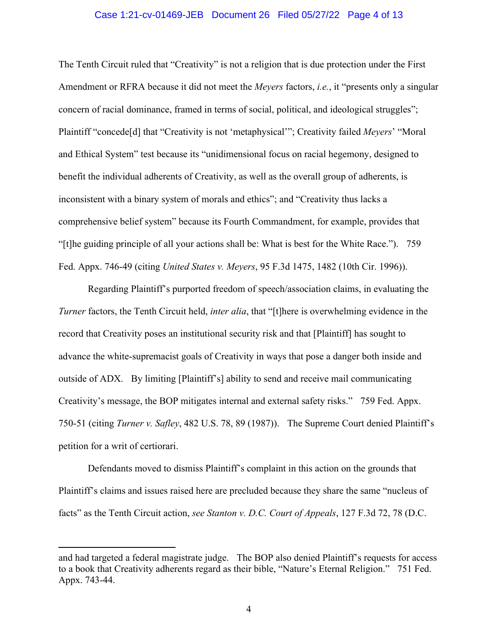# Case 1:21-cv-01469-JEB Document 26 Filed 05/27/22 Page 4 of 13

The Tenth Circuit ruled that "Creativity" is not a religion that is due protection under the First Amendment or RFRA because it did not meet the *Meyers* factors, *i.e.*, it "presents only a singular concern of racial dominance, framed in terms of social, political, and ideological struggles"; Plaintiff "concede[d] that "Creativity is not 'metaphysical'"; Creativity failed *Meyers*' "Moral and Ethical System" test because its "unidimensional focus on racial hegemony, designed to benefit the individual adherents of Creativity, as well as the overall group of adherents, is inconsistent with a binary system of morals and ethics"; and "Creativity thus lacks a comprehensive belief system" because its Fourth Commandment, for example, provides that "[t]he guiding principle of all your actions shall be: What is best for the White Race."). 759 Fed. Appx. 746-49 (citing *United States v. Meyers*, 95 F.3d 1475, 1482 (10th Cir. 1996)).

Regarding Plaintiff's purported freedom of speech/association claims, in evaluating the *Turner* factors, the Tenth Circuit held, *inter alia*, that "[t]here is overwhelming evidence in the record that Creativity poses an institutional security risk and that [Plaintiff] has sought to advance the white-supremacist goals of Creativity in ways that pose a danger both inside and outside of ADX. By limiting [Plaintiff's] ability to send and receive mail communicating Creativity's message, the BOP mitigates internal and external safety risks." 759 Fed. Appx. 750-51 (citing *Turner v. Safley*, 482 U.S. 78, 89 (1987)). The Supreme Court denied Plaintiff's petition for a writ of certiorari.

Defendants moved to dismiss Plaintiff's complaint in this action on the grounds that Plaintiff's claims and issues raised here are precluded because they share the same "nucleus of facts" as the Tenth Circuit action, *see Stanton v. D.C. Court of Appeals*, 127 F.3d 72, 78 (D.C.

and had targeted a federal magistrate judge. The BOP also denied Plaintiff's requests for access to a book that Creativity adherents regard as their bible, "Nature's Eternal Religion." 751 Fed. Appx. 743-44.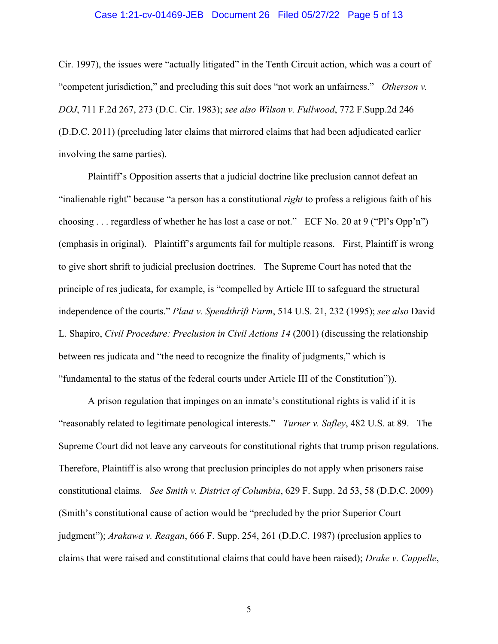# Case 1:21-cv-01469-JEB Document 26 Filed 05/27/22 Page 5 of 13

Cir. 1997), the issues were "actually litigated" in the Tenth Circuit action, which was a court of "competent jurisdiction," and precluding this suit does "not work an unfairness." *Otherson v. DOJ*, 711 F.2d 267, 273 (D.C. Cir. 1983); *see also Wilson v. Fullwood*, 772 F.Supp.2d 246 (D.D.C. 2011) (precluding later claims that mirrored claims that had been adjudicated earlier involving the same parties).

Plaintiff's Opposition asserts that a judicial doctrine like preclusion cannot defeat an "inalienable right" because "a person has a constitutional *right* to profess a religious faith of his choosing . . . regardless of whether he has lost a case or not." ECF No. 20 at 9 ("Pl's Opp'n") (emphasis in original). Plaintiff's arguments fail for multiple reasons. First, Plaintiff is wrong to give short shrift to judicial preclusion doctrines. The Supreme Court has noted that the principle of res judicata, for example, is "compelled by Article III to safeguard the structural independence of the courts." *Plaut v. Spendthrift Farm*, 514 U.S. 21, 232 (1995); *see also* David L. Shapiro, *Civil Procedure: Preclusion in Civil Actions 14* (2001) (discussing the relationship between res judicata and "the need to recognize the finality of judgments," which is "fundamental to the status of the federal courts under Article III of the Constitution")).

A prison regulation that impinges on an inmate's constitutional rights is valid if it is "reasonably related to legitimate penological interests." *Turner v. Safley*, 482 U.S. at 89. The Supreme Court did not leave any carveouts for constitutional rights that trump prison regulations. Therefore, Plaintiff is also wrong that preclusion principles do not apply when prisoners raise constitutional claims. *See Smith v. District of Columbia*, 629 F. Supp. 2d 53, 58 (D.D.C. 2009) (Smith's constitutional cause of action would be "precluded by the prior Superior Court judgment"); *Arakawa v. Reagan*, 666 F. Supp. 254, 261 (D.D.C. 1987) (preclusion applies to claims that were raised and constitutional claims that could have been raised); *Drake v. Cappelle*,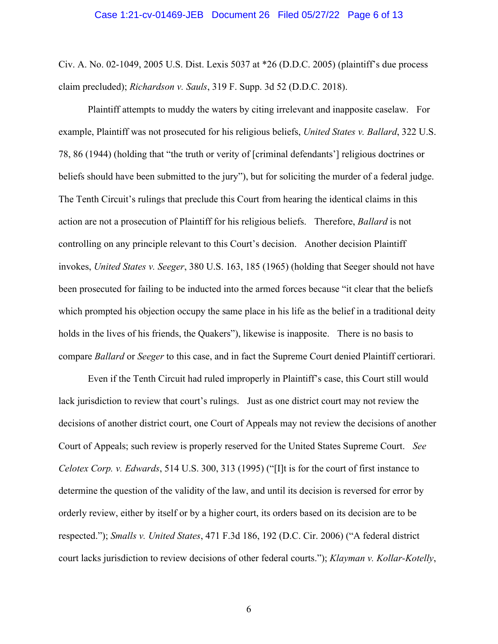#### Case 1:21-cv-01469-JEB Document 26 Filed 05/27/22 Page 6 of 13

Civ. A. No. 02-1049, 2005 U.S. Dist. Lexis 5037 at \*26 (D.D.C. 2005) (plaintiff's due process claim precluded); *Richardson v. Sauls*, 319 F. Supp. 3d 52 (D.D.C. 2018).

Plaintiff attempts to muddy the waters by citing irrelevant and inapposite caselaw. For example, Plaintiff was not prosecuted for his religious beliefs, *United States v. Ballard*, 322 U.S. 78, 86 (1944) (holding that "the truth or verity of [criminal defendants'] religious doctrines or beliefs should have been submitted to the jury"), but for soliciting the murder of a federal judge. The Tenth Circuit's rulings that preclude this Court from hearing the identical claims in this action are not a prosecution of Plaintiff for his religious beliefs. Therefore, *Ballard* is not controlling on any principle relevant to this Court's decision. Another decision Plaintiff invokes, *United States v. Seeger*, 380 U.S. 163, 185 (1965) (holding that Seeger should not have been prosecuted for failing to be inducted into the armed forces because "it clear that the beliefs which prompted his objection occupy the same place in his life as the belief in a traditional deity holds in the lives of his friends, the Quakers"), likewise is inapposite. There is no basis to compare *Ballard* or *Seeger* to this case, and in fact the Supreme Court denied Plaintiff certiorari.

Even if the Tenth Circuit had ruled improperly in Plaintiff's case, this Court still would lack jurisdiction to review that court's rulings. Just as one district court may not review the decisions of another district court, one Court of Appeals may not review the decisions of another Court of Appeals; such review is properly reserved for the United States Supreme Court. *See Celotex Corp. v. Edwards*, 514 U.S. 300, 313 (1995) ("[I]t is for the court of first instance to determine the question of the validity of the law, and until its decision is reversed for error by orderly review, either by itself or by a higher court, its orders based on its decision are to be respected."); *Smalls v. United States*, 471 F.3d 186, 192 (D.C. Cir. 2006) ("A federal district court lacks jurisdiction to review decisions of other federal courts."); *Klayman v. Kollar-Kotelly*,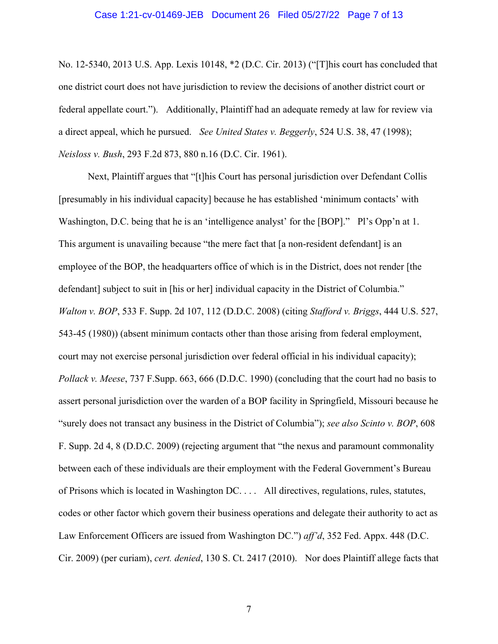#### Case 1:21-cv-01469-JEB Document 26 Filed 05/27/22 Page 7 of 13

No. 12-5340, 2013 U.S. App. Lexis 10148, \*2 (D.C. Cir. 2013) ("[T]his court has concluded that one district court does not have jurisdiction to review the decisions of another district court or federal appellate court."). Additionally, Plaintiff had an adequate remedy at law for review via a direct appeal, which he pursued. *See United States v. Beggerly*, 524 U.S. 38, 47 (1998); *Neisloss v. Bush*, 293 F.2d 873, 880 n.16 (D.C. Cir. 1961).

Next, Plaintiff argues that "[t]his Court has personal jurisdiction over Defendant Collis [presumably in his individual capacity] because he has established 'minimum contacts' with Washington, D.C. being that he is an 'intelligence analyst' for the [BOP]." Pl's Opp'n at 1. This argument is unavailing because "the mere fact that [a non-resident defendant] is an employee of the BOP, the headquarters office of which is in the District, does not render [the defendant] subject to suit in [his or her] individual capacity in the District of Columbia." *Walton v. BOP*, 533 F. Supp. 2d 107, 112 (D.D.C. 2008) (citing *Stafford v. Briggs*, 444 U.S. 527, 543-45 (1980)) (absent minimum contacts other than those arising from federal employment, court may not exercise personal jurisdiction over federal official in his individual capacity); *Pollack v. Meese*, 737 F.Supp. 663, 666 (D.D.C. 1990) (concluding that the court had no basis to assert personal jurisdiction over the warden of a BOP facility in Springfield, Missouri because he "surely does not transact any business in the District of Columbia"); *see also Scinto v. BOP*, 608 F. Supp. 2d 4, 8 (D.D.C. 2009) (rejecting argument that "the nexus and paramount commonality between each of these individuals are their employment with the Federal Government's Bureau of Prisons which is located in Washington DC. . . . All directives, regulations, rules, statutes, codes or other factor which govern their business operations and delegate their authority to act as Law Enforcement Officers are issued from Washington DC.") *aff'd*, 352 Fed. Appx. 448 (D.C. Cir. 2009) (per curiam), *cert. denied*, 130 S. Ct. 2417 (2010). Nor does Plaintiff allege facts that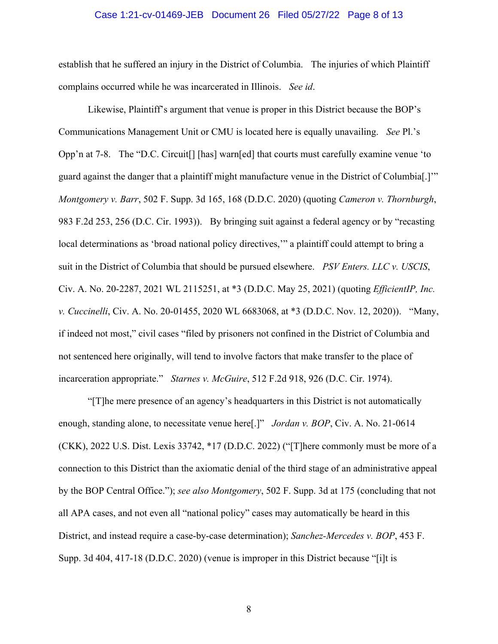# Case 1:21-cv-01469-JEB Document 26 Filed 05/27/22 Page 8 of 13

establish that he suffered an injury in the District of Columbia. The injuries of which Plaintiff complains occurred while he was incarcerated in Illinois. *See id*.

Likewise, Plaintiff's argument that venue is proper in this District because the BOP's Communications Management Unit or CMU is located here is equally unavailing. *See* Pl.'s Opp'n at 7-8. The "D.C. Circuit[] [has] warn[ed] that courts must carefully examine venue 'to guard against the danger that a plaintiff might manufacture venue in the District of Columbia[.]'" *Montgomery v. Barr*, 502 F. Supp. 3d 165, 168 (D.D.C. 2020) (quoting *Cameron v. Thornburgh*, 983 F.2d 253, 256 (D.C. Cir. 1993)). By bringing suit against a federal agency or by "recasting local determinations as 'broad national policy directives,'" a plaintiff could attempt to bring a suit in the District of Columbia that should be pursued elsewhere. *PSV Enters. LLC v. USCIS*, Civ. A. No. 20-2287, 2021 WL 2115251, at \*3 (D.D.C. May 25, 2021) (quoting *EfficientIP, Inc. v. Cuccinelli*, Civ. A. No. 20-01455, 2020 WL 6683068, at \*3 (D.D.C. Nov. 12, 2020)). "Many, if indeed not most," civil cases "filed by prisoners not confined in the District of Columbia and not sentenced here originally, will tend to involve factors that make transfer to the place of incarceration appropriate." *Starnes v. McGuire*, 512 F.2d 918, 926 (D.C. Cir. 1974).

"[T]he mere presence of an agency's headquarters in this District is not automatically enough, standing alone, to necessitate venue here[.]" *Jordan v. BOP*, Civ. A. No. 21-0614 (CKK), 2022 U.S. Dist. Lexis 33742, \*17 (D.D.C. 2022) ("[T]here commonly must be more of a connection to this District than the axiomatic denial of the third stage of an administrative appeal by the BOP Central Office."); *see also Montgomery*, 502 F. Supp. 3d at 175 (concluding that not all APA cases, and not even all "national policy" cases may automatically be heard in this District, and instead require a case-by-case determination); *Sanchez-Mercedes v. BOP*, 453 F. Supp. 3d 404, 417-18 (D.D.C. 2020) (venue is improper in this District because "[i]t is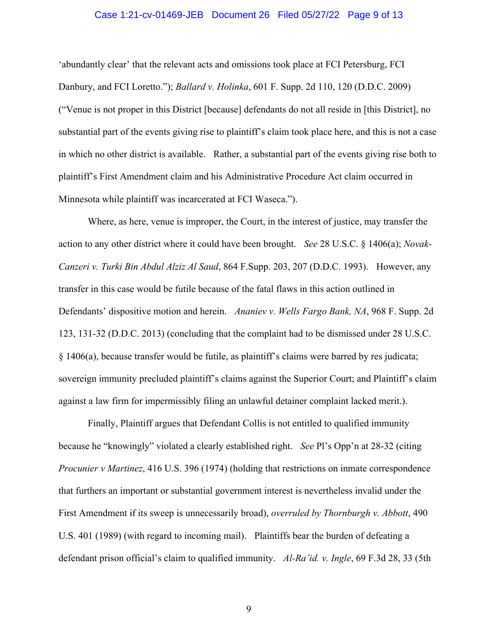## Case 1:21-cv-01469-JEB Document 26 Filed 05/27/22 Page 9 of 13

'abundantly clear' that the relevant acts and omissions took place at FCI Petersburg, FCI Danbury, and FCI Loretto."); *Ballard v. Holinka*, 601 F. Supp. 2d 110, 120 (D.D.C. 2009) ("Venue is not proper in this District [because] defendants do not all reside in [this District], no substantial part of the events giving rise to plaintiff's claim took place here, and this is not a case in which no other district is available. Rather, a substantial part of the events giving rise both to plaintiff's First Amendment claim and his Administrative Procedure Act claim occurred in Minnesota while plaintiff was incarcerated at FCI Waseca.").

Where, as here, venue is improper, the Court, in the interest of justice, may transfer the action to any other district where it could have been brought. *See* 28 U.S.C. § 1406(a); *Novak-Canzeri v. Turki Bin Abdul Alziz Al Saud*, 864 F.Supp. 203, 207 (D.D.C. 1993). However, any transfer in this case would be futile because of the fatal flaws in this action outlined in Defendants' dispositive motion and herein. *Ananiev v. Wells Fargo Bank, NA*, 968 F. Supp. 2d 123, 131-32 (D.D.C. 2013) (concluding that the complaint had to be dismissed under 28 U.S.C. § 1406(a), because transfer would be futile, as plaintiff's claims were barred by res judicata; sovereign immunity precluded plaintiff's claims against the Superior Court; and Plaintiff's claim against a law firm for impermissibly filing an unlawful detainer complaint lacked merit.).

Finally, Plaintiff argues that Defendant Collis is not entitled to qualified immunity because he "knowingly" violated a clearly established right. *See* Pl's Opp'n at 28-32 (citing *Procunier v Martinez*, 416 U.S. 396 (1974) (holding that restrictions on inmate correspondence that furthers an important or substantial government interest is nevertheless invalid under the First Amendment if its sweep is unnecessarily broad), *overruled by Thornburgh v. Abbott*, 490 U.S. 401 (1989) (with regard to incoming mail). Plaintiffs bear the burden of defeating a defendant prison official's claim to qualified immunity. *Al-Ra'id. v. Ingle*, 69 F.3d 28, 33 (5th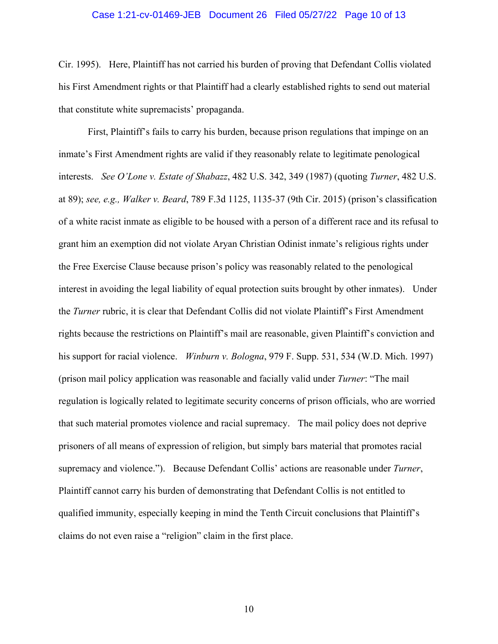# Case 1:21-cv-01469-JEB Document 26 Filed 05/27/22 Page 10 of 13

Cir. 1995). Here, Plaintiff has not carried his burden of proving that Defendant Collis violated his First Amendment rights or that Plaintiff had a clearly established rights to send out material that constitute white supremacists' propaganda.

First, Plaintiff's fails to carry his burden, because prison regulations that impinge on an inmate's First Amendment rights are valid if they reasonably relate to legitimate penological interests. *See O'Lone v. Estate of Shabazz*, 482 U.S. 342, 349 (1987) (quoting *Turner*, 482 U.S. at 89); *see, e.g., Walker v. Beard*, 789 F.3d 1125, 1135-37 (9th Cir. 2015) (prison's classification of a white racist inmate as eligible to be housed with a person of a different race and its refusal to grant him an exemption did not violate Aryan Christian Odinist inmate's religious rights under the Free Exercise Clause because prison's policy was reasonably related to the penological interest in avoiding the legal liability of equal protection suits brought by other inmates). Under the *Turner* rubric, it is clear that Defendant Collis did not violate Plaintiff's First Amendment rights because the restrictions on Plaintiff's mail are reasonable, given Plaintiff's conviction and his support for racial violence. *Winburn v. Bologna*, 979 F. Supp. 531, 534 (W.D. Mich. 1997) (prison mail policy application was reasonable and facially valid under *Turner*: "The mail regulation is logically related to legitimate security concerns of prison officials, who are worried that such material promotes violence and racial supremacy. The mail policy does not deprive prisoners of all means of expression of religion, but simply bars material that promotes racial supremacy and violence."). Because Defendant Collis' actions are reasonable under *Turner*, Plaintiff cannot carry his burden of demonstrating that Defendant Collis is not entitled to qualified immunity, especially keeping in mind the Tenth Circuit conclusions that Plaintiff's claims do not even raise a "religion" claim in the first place.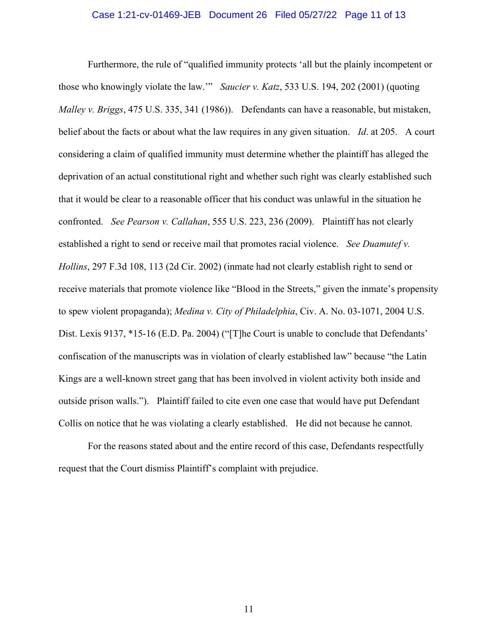# Case 1:21-cv-01469-JEB Document 26 Filed 05/27/22 Page 11 of 13

Furthermore, the rule of "qualified immunity protects 'all but the plainly incompetent or those who knowingly violate the law.'" *Saucier v. Katz*, 533 U.S. 194, 202 (2001) (quoting *Malley v. Briggs*, 475 U.S. 335, 341 (1986)). Defendants can have a reasonable, but mistaken, belief about the facts or about what the law requires in any given situation. *Id*. at 205. A court considering a claim of qualified immunity must determine whether the plaintiff has alleged the deprivation of an actual constitutional right and whether such right was clearly established such that it would be clear to a reasonable officer that his conduct was unlawful in the situation he confronted. *See Pearson v. Callahan*, 555 U.S. 223, 236 (2009). Plaintiff has not clearly established a right to send or receive mail that promotes racial violence. *See Duamutef v. Hollins*, 297 F.3d 108, 113 (2d Cir. 2002) (inmate had not clearly establish right to send or receive materials that promote violence like "Blood in the Streets," given the inmate's propensity to spew violent propaganda); *Medina v. City of Philadelphia*, Civ. A. No. 03-1071, 2004 U.S. Dist. Lexis 9137, \*15-16 (E.D. Pa. 2004) ("[T]he Court is unable to conclude that Defendants' confiscation of the manuscripts was in violation of clearly established law" because "the Latin Kings are a well-known street gang that has been involved in violent activity both inside and outside prison walls."). Plaintiff failed to cite even one case that would have put Defendant Collis on notice that he was violating a clearly established. He did not because he cannot.

For the reasons stated about and the entire record of this case, Defendants respectfully request that the Court dismiss Plaintiff's complaint with prejudice.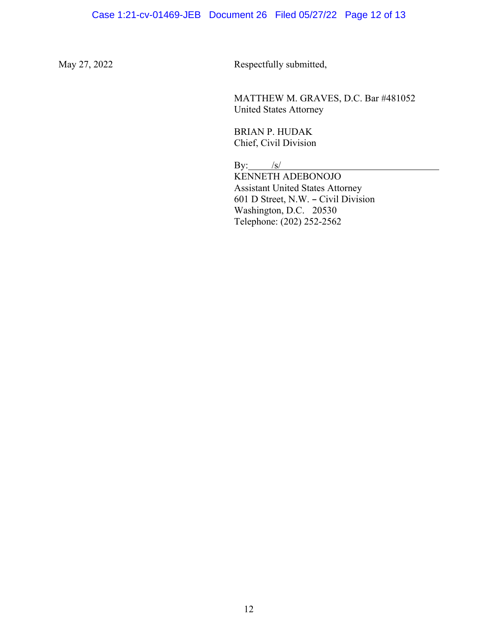May 27, 2022 Respectfully submitted,

 MATTHEW M. GRAVES, D.C. Bar #481052 United States Attorney

BRIAN P. HUDAK Chief, Civil Division

By:  $/s/$ 

KENNETH ADEBONOJO Assistant United States Attorney 601 D Street, N.W. - Civil Division Washington, D.C. 20530 Telephone: (202) 252-2562